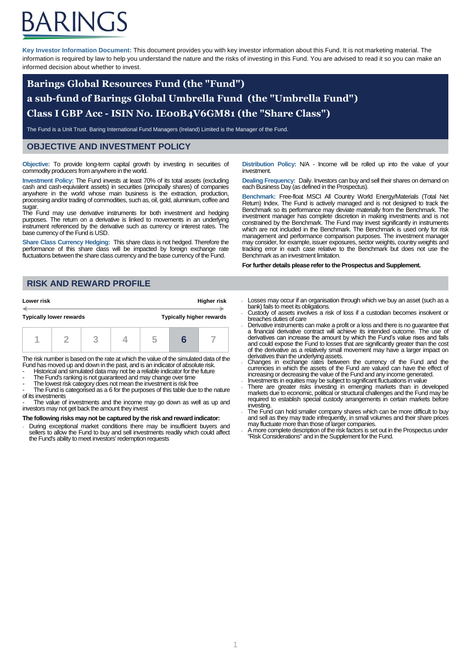# ARINGS

**Key Investor Information Document:** This document provides you with key investor information about this Fund. It is not marketing material. The information is required by law to help you understand the nature and the risks of investing in this Fund. You are advised to read it so you can make an informed decision about whether to invest.

## **Barings Global Resources Fund (the "Fund") a sub-fund of Barings Global Umbrella Fund (the "Umbrella Fund") Class I GBP Acc - ISIN No. IE00B4V6GM81 (the "Share Class")**

The Fund is a Unit Trust. Baring International Fund Managers (Ireland) Limited is the Manager of the Fund.

### **OBJECTIVE AND INVESTMENT POLICY**

**Objective:** To provide long-term capital growth by investing in securities of commodity producers from anywhere in the world.

**Investment Policy:** The Fund invests at least 70% of its total assets (excluding cash and cash-equivalent assets) in securities (principally shares) of companies anywhere in the world whose main business is the extraction, production, processing and/or trading of commodities, such as, oil, gold, aluminium, coffee and sugar

The Fund may use derivative instruments for both investment and hedging purposes. The return on a derivative is linked to movements in an underlying instrument referenced by the derivative such as currency or interest rates. The base currency of the Fund is USD.

**Share Class Currency Hedging:** This share class is not hedged. Therefore the performance of this share class will be impacted by foreign exchange rate fluctuations between the share class currency and the base currency of the Fund.

**Distribution Policy:** N/A - Income will be rolled up into the value of your investment.

**Dealing Frequency:** Daily. Investors can buy and sell their shares on demand on each Business Day (as defined in the Prospectus).

**Benchmark:** Free-float MSCI All Country World Energy/Materials (Total Net Return) Index. The Fund is actively managed and is not designed to track the Benchmark so its performance may deviate materially from the Benchmark. The investment manager has complete discretion in making investments and is not constrained by the Benchmark. The Fund may invest significantly in instruments which are not included in the Benchmark. The Benchmark is used only for risk management and performance comparison purposes. The investment manager may consider, for example, issuer exposures, sector weights, country weights and tracking error in each case relative to the Benchmark but does not use the Benchmark as an investment limitation.

**For further details please refer to the Prospectus and Supplement.**

## **RISK AND REWARD PROFILE**

| Lower risk                     |  | Higher risk                     |  |  |  |
|--------------------------------|--|---------------------------------|--|--|--|
| <b>Typically lower rewards</b> |  | <b>Typically higher rewards</b> |  |  |  |
|                                |  |                                 |  |  |  |

The risk number is based on the rate at which the value of the simulated data of the Fund has moved up and down in the past, and is an indicator of absolute risk.

- Historical and simulated data may not be a reliable indicator for the future
- The Fund's ranking is not guaranteed and may change over time

The lowest risk category does not mean the investment is risk free The Fund is categorised as a 6 for the purposes of this table due to the nature of its investments

The value of investments and the income may go down as well as up and investors may not get back the amount they invest

#### **The following risks may not be captured by the risk and reward indicator:**

During exceptional market conditions there may be insufficient buyers and sellers to allow the Fund to buy and sell investments readily which could affect the Fund's ability to meet investors' redemption requests

- Losses may occur if an organisation through which we buy an asset (such as a bank) fails to meet its obligations.
- Custody of assets involves a risk of loss if a custodian becomes insolvent or breaches duties of care
- Derivative instruments can make a profit or a loss and there is no guarantee that a financial derivative contract will achieve its intended outcome. The use of derivatives can increase the amount by which the Fund's value rises and falls and could expose the Fund to losses that are significantly greater than the cost of the derivative as a relatively small movement may have a larger impact on derivatives than the underlying assets. - Changes in exchange rates between the currency of the Fund and the
- currencies in which the assets of the Fund are valued can have the effect of increasing or decreasing the value of the Fund and any income generated. Investments in equities may be subject to significant fluctuations in value
- There are greater risks investing in emerging markets than in developed
- markets due to economic, political or structural challenges and the Fund may be required to establish special custody arrangements in certain markets before investing. The Fund can hold smaller company shares which can be more difficult to buy
- and sell as they may trade infrequently, in small volumes and their share prices may fluctuate more than those of larger companies.
- A more complete description of the risk factors is set out in the Prospectus under "Risk Considerations" and in the Supplement for the Fund.